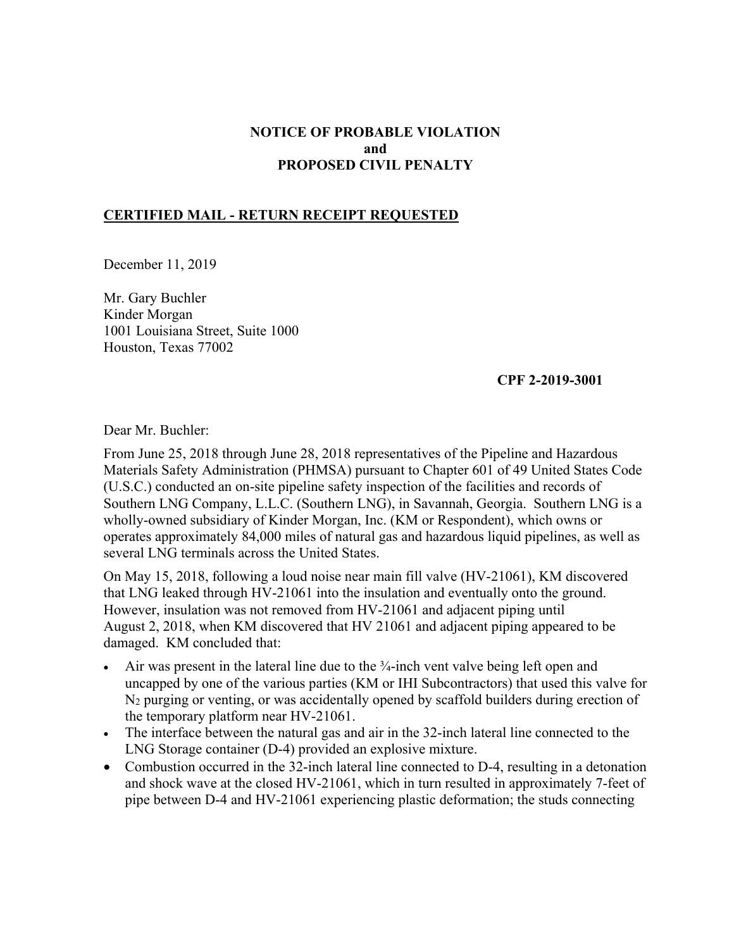# **NOTICE OF PROBABLE VIOLATION and PROPOSED CIVIL PENALTY**

### **CERTIFIED MAIL - RETURN RECEIPT REQUESTED**

December 11, 2019

Mr. Gary Buchler Kinder Morgan 1001 Louisiana Street, Suite 1000 Houston, Texas 77002

### **CPF 2-2019-3001**

Dear Mr. Buchler:

From June 25, 2018 through June 28, 2018 representatives of the Pipeline and Hazardous Materials Safety Administration (PHMSA) pursuant to Chapter 601 of 49 United States Code (U.S.C.) conducted an on-site pipeline safety inspection of the facilities and records of Southern LNG Company, L.L.C. (Southern LNG), in Savannah, Georgia. Southern LNG is a wholly-owned subsidiary of Kinder Morgan, Inc. (KM or Respondent), which owns or operates approximately 84,000 miles of natural gas and hazardous liquid pipelines, as well as several LNG terminals across the United States.

On May 15, 2018, following a loud noise near main fill valve (HV-21061), KM discovered that LNG leaked through HV-21061 into the insulation and eventually onto the ground. However, insulation was not removed from HV-21061 and adjacent piping until August 2, 2018, when KM discovered that HV 21061 and adjacent piping appeared to be damaged. KM concluded that:

- Air was present in the lateral line due to the  $\frac{3}{4}$ -inch vent valve being left open and uncapped by one of the various parties (KM or IHI Subcontractors) that used this valve for N<sub>2</sub> purging or venting, or was accidentally opened by scaffold builders during erection of the temporary platform near HV-21061.
- The interface between the natural gas and air in the 32-inch lateral line connected to the LNG Storage container (D-4) provided an explosive mixture.
- Combustion occurred in the 32-inch lateral line connected to D-4, resulting in a detonation and shock wave at the closed HV-21061, which in turn resulted in approximately 7-feet of pipe between D-4 and HV-21061 experiencing plastic deformation; the studs connecting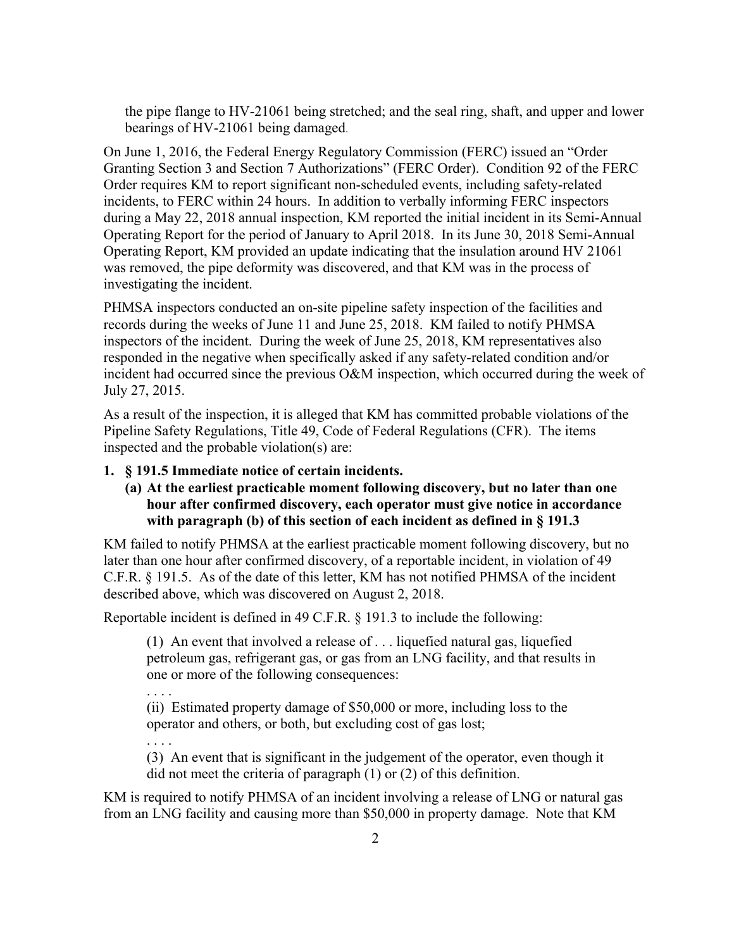the pipe flange to HV-21061 being stretched; and the seal ring, shaft, and upper and lower bearings of HV-21061 being damaged.

On June 1, 2016, the Federal Energy Regulatory Commission (FERC) issued an "Order Granting Section 3 and Section 7 Authorizations" (FERC Order). Condition 92 of the FERC Order requires KM to report significant non-scheduled events, including safety-related incidents, to FERC within 24 hours. In addition to verbally informing FERC inspectors during a May 22, 2018 annual inspection, KM reported the initial incident in its Semi-Annual Operating Report for the period of January to April 2018. In its June 30, 2018 Semi-Annual Operating Report, KM provided an update indicating that the insulation around HV 21061 was removed, the pipe deformity was discovered, and that KM was in the process of investigating the incident.

PHMSA inspectors conducted an on-site pipeline safety inspection of the facilities and records during the weeks of June 11 and June 25, 2018. KM failed to notify PHMSA inspectors of the incident. During the week of June 25, 2018, KM representatives also responded in the negative when specifically asked if any safety-related condition and/or incident had occurred since the previous O&M inspection, which occurred during the week of July 27, 2015.

As a result of the inspection, it is alleged that KM has committed probable violations of the Pipeline Safety Regulations, Title 49, Code of Federal Regulations (CFR). The items inspected and the probable violation(s) are:

### **1. § 191.5 Immediate notice of certain incidents.**

## **(a) At the earliest practicable moment following discovery, but no later than one hour after confirmed discovery, each operator must give notice in accordance with paragraph (b) of this section of each incident as defined in § 191.3**

KM failed to notify PHMSA at the earliest practicable moment following discovery, but no later than one hour after confirmed discovery, of a reportable incident, in violation of 49 C.F.R. § 191.5. As of the date of this letter, KM has not notified PHMSA of the incident described above, which was discovered on August 2, 2018.

Reportable incident is defined in 49 C.F.R. § 191.3 to include the following:

(1) An event that involved a release of . . . liquefied natural gas, liquefied petroleum gas, refrigerant gas, or gas from an LNG facility, and that results in one or more of the following consequences:

. . . .

(ii) Estimated property damage of \$50,000 or more, including loss to the operator and others, or both, but excluding cost of gas lost;

. . . .

(3) An event that is significant in the judgement of the operator, even though it did not meet the criteria of paragraph (1) or (2) of this definition.

KM is required to notify PHMSA of an incident involving a release of LNG or natural gas from an LNG facility and causing more than \$50,000 in property damage. Note that KM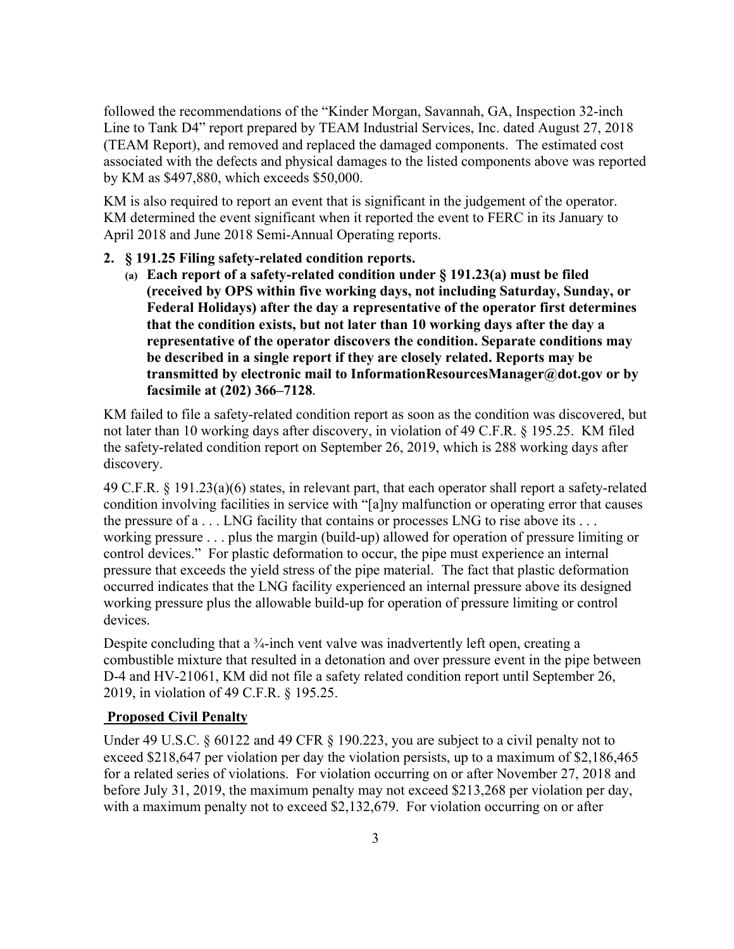followed the recommendations of the "Kinder Morgan, Savannah, GA, Inspection 32-inch Line to Tank D4" report prepared by TEAM Industrial Services, Inc. dated August 27, 2018 (TEAM Report), and removed and replaced the damaged components. The estimated cost associated with the defects and physical damages to the listed components above was reported by KM as \$497,880, which exceeds \$50,000.

KM is also required to report an event that is significant in the judgement of the operator. KM determined the event significant when it reported the event to FERC in its January to April 2018 and June 2018 Semi-Annual Operating reports.

### **2. § 191.25 Filing safety-related condition reports.**

**(a) Each report of a safety-related condition under § 191.23(a) must be filed (received by OPS within five working days, not including Saturday, Sunday, or Federal Holidays) after the day a representative of the operator first determines that the condition exists, but not later than 10 working days after the day a representative of the operator discovers the condition. Separate conditions may be described in a single report if they are closely related. Reports may be transmitted by electronic mail to [InformationResourcesManager@dot.gov](mailto:InformationResourcesManager@dot.gov) or by facsimile at (202) 366–7128.** 

KM failed to file a safety-related condition report as soon as the condition was discovered, but not later than 10 working days after discovery, in violation of 49 C.F.R. § 195.25. KM filed the safety-related condition report on September 26, 2019, which is 288 working days after discovery.

49 C.F.R. § 191.23(a)(6) states, in relevant part, that each operator shall report a safety-related condition involving facilities in service with "[a]ny malfunction or operating error that causes the pressure of a . . . LNG facility that contains or processes LNG to rise above its . . . working pressure . . . plus the margin (build-up) allowed for operation of pressure limiting or control devices." For plastic deformation to occur, the pipe must experience an internal pressure that exceeds the yield stress of the pipe material. The fact that plastic deformation occurred indicates that the LNG facility experienced an internal pressure above its designed working pressure plus the allowable build-up for operation of pressure limiting or control devices.

Despite concluding that a <sup>3</sup>/<sub>4</sub>-inch vent valve was inadvertently left open, creating a combustible mixture that resulted in a detonation and over pressure event in the pipe between D-4 and HV-21061, KM did not file a safety related condition report until September 26, 2019, in violation of 49 C.F.R. § 195.25.

# **Proposed Civil Penalty**

Under 49 U.S.C. § 60122 and 49 CFR § 190.223, you are subject to a civil penalty not to exceed \$218,647 per violation per day the violation persists, up to a maximum of \$2,186,465 for a related series of violations. For violation occurring on or after November 27, 2018 and before July 31, 2019, the maximum penalty may not exceed \$213,268 per violation per day, with a maximum penalty not to exceed \$2,132,679. For violation occurring on or after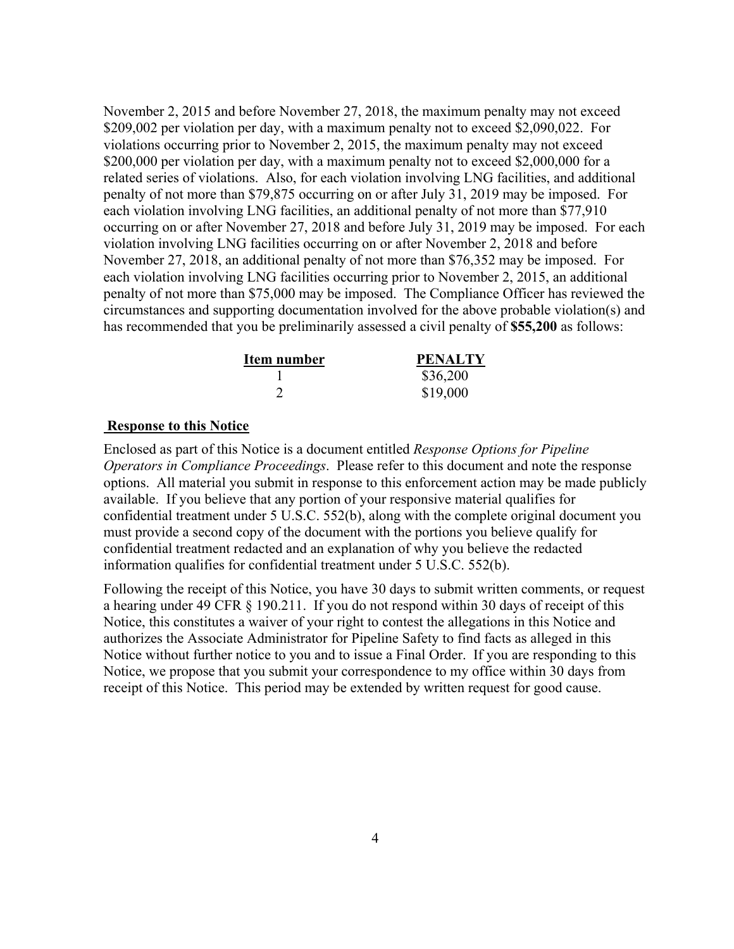November 2, 2015 and before November 27, 2018, the maximum penalty may not exceed \$209,002 per violation per day, with a maximum penalty not to exceed \$2,090,022. For violations occurring prior to November 2, 2015, the maximum penalty may not exceed \$200,000 per violation per day, with a maximum penalty not to exceed \$2,000,000 for a related series of violations. Also, for each violation involving LNG facilities, and additional penalty of not more than \$79,875 occurring on or after July 31, 2019 may be imposed. For each violation involving LNG facilities, an additional penalty of not more than \$77,910 occurring on or after November 27, 2018 and before July 31, 2019 may be imposed. For each violation involving LNG facilities occurring on or after November 2, 2018 and before November 27, 2018, an additional penalty of not more than \$76,352 may be imposed. For each violation involving LNG facilities occurring prior to November 2, 2015, an additional penalty of not more than \$75,000 may be imposed. The Compliance Officer has reviewed the circumstances and supporting documentation involved for the above probable violation(s) and has recommended that you be preliminarily assessed a civil penalty of **\$55,200** as follows:

| Item number | <b>PENALTY</b> |
|-------------|----------------|
|             | \$36,200       |
|             | \$19,000       |

## **Response to this Notice**

Enclosed as part of this Notice is a document entitled *Response Options for Pipeline Operators in Compliance Proceedings*. Please refer to this document and note the response options. All material you submit in response to this enforcement action may be made publicly available. If you believe that any portion of your responsive material qualifies for confidential treatment under 5 U.S.C. 552(b), along with the complete original document you must provide a second copy of the document with the portions you believe qualify for confidential treatment redacted and an explanation of why you believe the redacted information qualifies for confidential treatment under 5 U.S.C. 552(b).

Following the receipt of this Notice, you have 30 days to submit written comments, or request a hearing under 49 CFR § 190.211. If you do not respond within 30 days of receipt of this Notice, this constitutes a waiver of your right to contest the allegations in this Notice and authorizes the Associate Administrator for Pipeline Safety to find facts as alleged in this Notice without further notice to you and to issue a Final Order. If you are responding to this Notice, we propose that you submit your correspondence to my office within 30 days from receipt of this Notice. This period may be extended by written request for good cause.